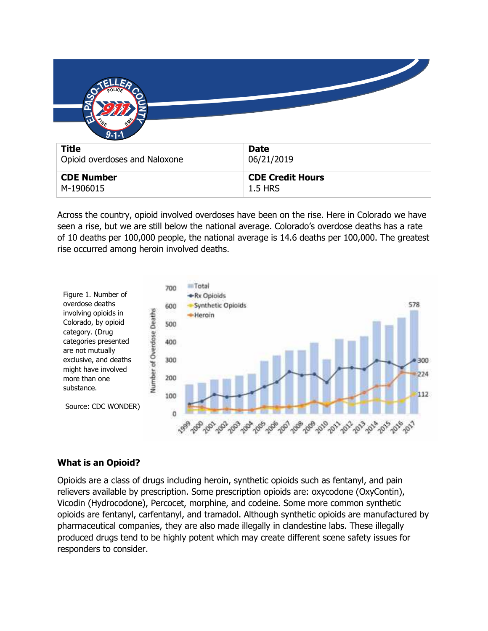| $9 - 1 - 1$<br><b>Title</b><br>Opioid overdoses and Naloxone | <b>Date</b><br>06/21/2019                 |
|--------------------------------------------------------------|-------------------------------------------|
| <b>CDE Number</b><br>M-1906015                               | <b>CDE Credit Hours</b><br><b>1.5 HRS</b> |

Across the country, opioid involved overdoses have been on the rise. Here in Colorado we have seen a rise, but we are still below the national average. Colorado's overdose deaths has a rate of 10 deaths per 100,000 people, the national average is 14.6 deaths per 100,000. The greatest rise occurred among heroin involved deaths.



## **What is an Opioid?**

Opioids are a class of drugs including heroin, synthetic opioids such as fentanyl, and pain relievers available by prescription. Some prescription opioids are: oxycodone (OxyContin), Vicodin (Hydrocodone), Percocet, morphine, and codeine. Some more common synthetic opioids are fentanyl, carfentanyl, and tramadol. Although synthetic opioids are manufactured by pharmaceutical companies, they are also made illegally in clandestine labs. These illegally produced drugs tend to be highly potent which may create different scene safety issues for responders to consider.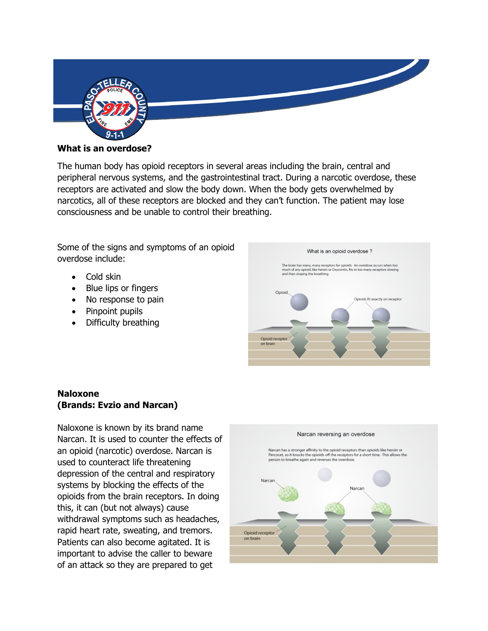

#### **What is an overdose?**

The human body has opioid receptors in several areas including the brain, central and peripheral nervous systems, and the gastrointestinal tract. During a narcotic overdose, these receptors are activated and slow the body down. When the body gets overwhelmed by narcotics, all of these receptors are blocked and they can't function. The patient may lose consciousness and be unable to control their breathing.

Some of the signs and symptoms of an opioid overdose include:

- Cold skin
- Blue lips or fingers
- No response to pain
- Pinpoint pupils
- Difficulty breathing



# **Naloxone (Brands: Evzio and Narcan)**

Naloxone is known by its brand name Narcan. It is used to counter the effects of an opioid (narcotic) overdose. Narcan is used to counteract life threatening depression of the central and respiratory systems by blocking the effects of the opioids from the brain receptors. In doing this, it can (but not always) cause withdrawal symptoms such as headaches, rapid heart rate, sweating, and tremors. Patients can also become agitated. It is important to advise the caller to beware of an attack so they are prepared to get

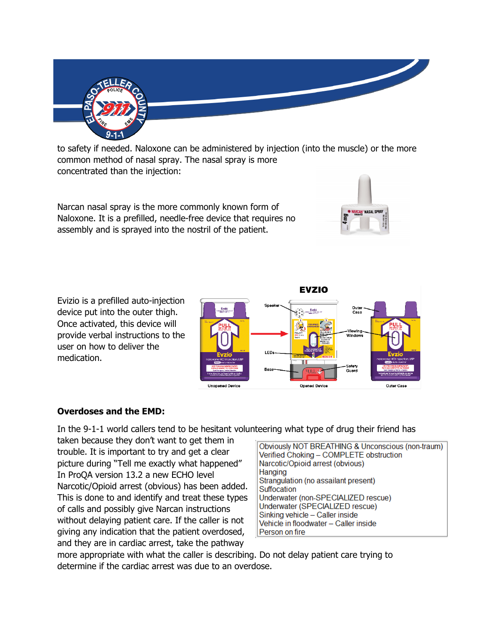

to safety if needed. Naloxone can be administered by injection (into the muscle) or the more common method of nasal spray. The nasal spray is more concentrated than the injection:

Narcan nasal spray is the more commonly known form of Naloxone. It is a prefilled, needle-free device that requires no assembly and is sprayed into the nostril of the patient.



Evizio is a prefilled auto-injection device put into the outer thigh. Once activated, this device will provide verbal instructions to the user on how to deliver the medication.



# **Overdoses and the EMD:**

In the 9-1-1 world callers tend to be hesitant volunteering what type of drug their friend has

taken because they don't want to get them in trouble. It is important to try and get a clear picture during "Tell me exactly what happened" In ProQA version 13.2 a new ECHO level Narcotic/Opioid arrest (obvious) has been added. This is done to and identify and treat these types of calls and possibly give Narcan instructions without delaying patient care. If the caller is not giving any indication that the patient overdosed, and they are in cardiac arrest, take the pathway

Obviously NOT BREATHING & Unconscious (non-traum) Verified Choking - COMPLETE obstruction Narcotic/Opioid arrest (obvious) Hanging Strangulation (no assailant present) Suffocation Underwater (non-SPECIALIZED rescue) Underwater (SPECIALIZED rescue) Sinking vehicle - Caller inside Vehicle in floodwater - Caller inside Person on fire

more appropriate with what the caller is describing. Do not delay patient care trying to determine if the cardiac arrest was due to an overdose.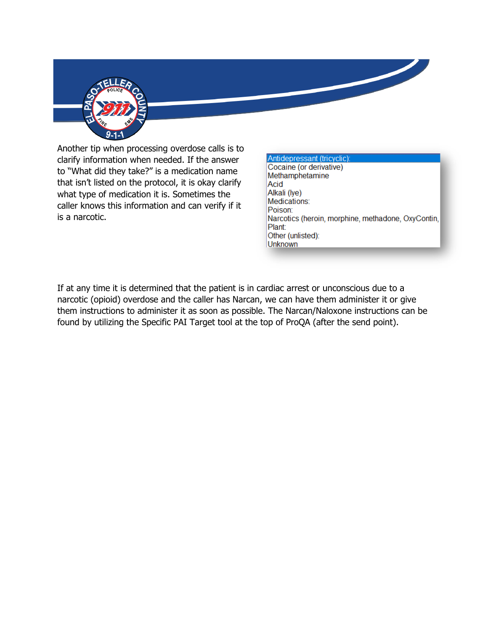

Another tip when processing overdose calls is to clarify information when needed. If the answer to "What did they take?" is a medication name that isn't listed on the protocol, it is okay clarify what type of medication it is. Sometimes the caller knows this information and can verify if it is a narcotic.

#### Antidepressant (tricyclic) Cocaine (or derivative)

Methamphetamine Acid Alkali (lye) Medications: Poison: Narcotics (heroin, morphine, methadone, OxyContin, Plant: Other (unlisted): **Unknown** 

If at any time it is determined that the patient is in cardiac arrest or unconscious due to a narcotic (opioid) overdose and the caller has Narcan, we can have them administer it or give them instructions to administer it as soon as possible. The Narcan/Naloxone instructions can be found by utilizing the Specific PAI Target tool at the top of ProQA (after the send point).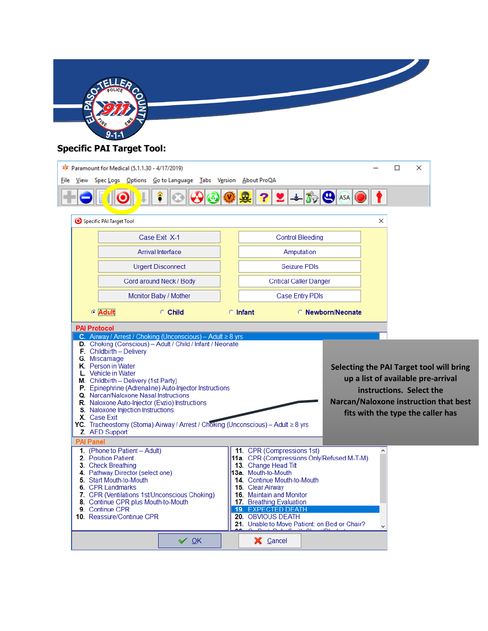

# **Specific PAI Target Tool:**

|                                                                                                                                                                                                                                                                                                                                                                                                                                                                                                                                                                                                                                                                   |           |                          | के Paramount for Medical (5.1.1.30 - 4/17/2019)           |                          |  |            |                                                                                |              |  |  |                          |  |   | □                        | × |                                                                                                                                                              |
|-------------------------------------------------------------------------------------------------------------------------------------------------------------------------------------------------------------------------------------------------------------------------------------------------------------------------------------------------------------------------------------------------------------------------------------------------------------------------------------------------------------------------------------------------------------------------------------------------------------------------------------------------------------------|-----------|--------------------------|-----------------------------------------------------------|--------------------------|--|------------|--------------------------------------------------------------------------------|--------------|--|--|--------------------------|--|---|--------------------------|---|--------------------------------------------------------------------------------------------------------------------------------------------------------------|
|                                                                                                                                                                                                                                                                                                                                                                                                                                                                                                                                                                                                                                                                   | File View |                          | Spec Logs Options Go to Language Tabs Version About ProQA |                          |  |            |                                                                                |              |  |  |                          |  |   |                          |   |                                                                                                                                                              |
|                                                                                                                                                                                                                                                                                                                                                                                                                                                                                                                                                                                                                                                                   |           |                          |                                                           |                          |  |            | $ \mathbf{2} $ + $ \mathbf{3} $ $\mathbf{\Theta}$ asa $ \mathbf{\Theta} $<br>? |              |  |  |                          |  |   |                          |   |                                                                                                                                                              |
|                                                                                                                                                                                                                                                                                                                                                                                                                                                                                                                                                                                                                                                                   |           | Specific PAI Target Tool |                                                           |                          |  |            |                                                                                |              |  |  |                          |  | × |                          |   |                                                                                                                                                              |
|                                                                                                                                                                                                                                                                                                                                                                                                                                                                                                                                                                                                                                                                   |           |                          |                                                           | Case Exit X-1            |  |            | <b>Control Bleeding</b>                                                        |              |  |  |                          |  |   |                          |   |                                                                                                                                                              |
|                                                                                                                                                                                                                                                                                                                                                                                                                                                                                                                                                                                                                                                                   |           |                          |                                                           | <b>Arrival Interface</b> |  |            |                                                                                | Amputation   |  |  |                          |  |   |                          |   |                                                                                                                                                              |
|                                                                                                                                                                                                                                                                                                                                                                                                                                                                                                                                                                                                                                                                   |           |                          |                                                           | <b>Urgent Disconnect</b> |  |            |                                                                                | Seizure PDIs |  |  |                          |  |   |                          |   |                                                                                                                                                              |
|                                                                                                                                                                                                                                                                                                                                                                                                                                                                                                                                                                                                                                                                   |           |                          | Cord around Neck / Body                                   |                          |  |            | <b>Critical Caller Danger</b>                                                  |              |  |  |                          |  |   |                          |   |                                                                                                                                                              |
|                                                                                                                                                                                                                                                                                                                                                                                                                                                                                                                                                                                                                                                                   |           |                          |                                                           | Monitor Baby / Mother    |  |            | <b>Case Entry PDIs</b>                                                         |              |  |  |                          |  |   |                          |   |                                                                                                                                                              |
|                                                                                                                                                                                                                                                                                                                                                                                                                                                                                                                                                                                                                                                                   |           | <b>C</b> Adult           |                                                           | C Child                  |  | $C$ Infant |                                                                                |              |  |  | <b>C</b> Newborn/Neonate |  |   |                          |   |                                                                                                                                                              |
| <b>PAI Protocol</b><br>C. Airway / Arrest / Choking (Unconscious) - Adult $\geq 8$ yrs<br>D. Choking (Conscious) - Adult / Child / Infant / Neonate<br>F. Childbirth - Delivery<br>G. Miscarriage<br>K. Person in Water<br>L. Vehicle in Water<br>M. Childbirth - Delivery (1st Party)<br>P. Epinephrine (Adrenaline) Auto-Injector Instructions<br>Q. Narcan/Naloxone Nasal Instructions<br>R. Naloxone Auto-Injector (Evzio) Instructions<br>S. Naloxone Injection Instructions<br>X. Case Exit<br>YC. Tracheostomy (Stoma) Airway / Arrest / Choking (Unconscious) - Adult $\geq 8$ yrs<br>Z. AED Support<br><b>PAI Panel</b><br>1. (Phone to Patient - Adult) |           |                          |                                                           |                          |  |            |                                                                                |              |  |  |                          |  |   |                          |   |                                                                                                                                                              |
|                                                                                                                                                                                                                                                                                                                                                                                                                                                                                                                                                                                                                                                                   |           |                          |                                                           |                          |  |            | 11. CPR (Compressions 1st)                                                     |              |  |  |                          |  |   | instructions. Select the |   | Selecting the PAI Target tool will bring<br>up a list of available pre-arrival<br>Narcan/Naloxone instruction that best<br>fits with the type the caller has |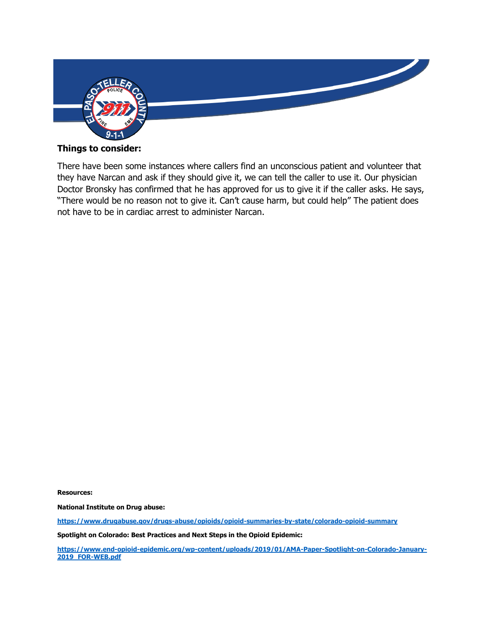

## **Things to consider:**

There have been some instances where callers find an unconscious patient and volunteer that they have Narcan and ask if they should give it, we can tell the caller to use it. Our physician Doctor Bronsky has confirmed that he has approved for us to give it if the caller asks. He says, "There would be no reason not to give it. Can't cause harm, but could help" The patient does not have to be in cardiac arrest to administer Narcan.

**Resources:** 

**National Institute on Drug abuse:** 

**<https://www.drugabuse.gov/drugs-abuse/opioids/opioid-summaries-by-state/colorado-opioid-summary>**

**Spotlight on Colorado: Best Practices and Next Steps in the Opioid Epidemic:**

**[https://www.end-opioid-epidemic.org/wp-content/uploads/2019/01/AMA-Paper-Spotlight-on-Colorado-January-](https://www.end-opioid-epidemic.org/wp-content/uploads/2019/01/AMA-Paper-Spotlight-on-Colorado-January-2019_FOR-WEB.pdf)[2019\\_FOR-WEB.pdf](https://www.end-opioid-epidemic.org/wp-content/uploads/2019/01/AMA-Paper-Spotlight-on-Colorado-January-2019_FOR-WEB.pdf)**